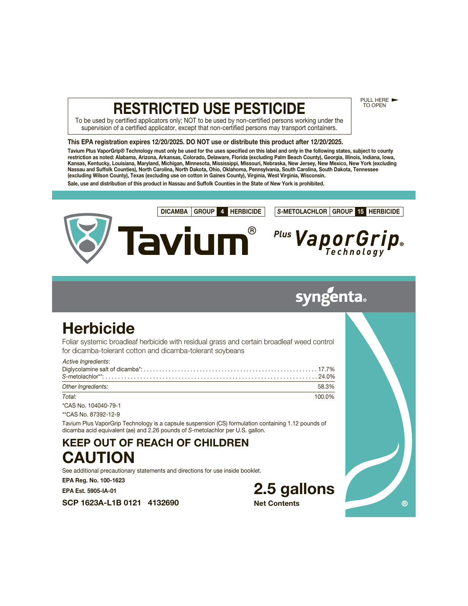# **RESTRICTED USE PESTICIDE**

PULL HERE TO OPEN

 $\circledR$ 

To be used by certified applicators only; NOT to be used by non-certified persons working under the supervision of a certified applicator, except that non-certified persons may transport containers.

## **This EPA registration expires 12/20/2025. DO NOT use or distribute this product after 12/20/2025.**

**Tavium Plus VaporGrip® Technology must only be used for the uses specified on this label and only in the following states, subject to county restriction as noted: Alabama, Arizona, Arkansas, Colorado, Delaware, Florida (excluding Palm Beach County), Georgia, Illinois, Indiana, Iowa, Kansas, Kentucky, Louisiana, Maryland, Michigan, Minnesota, Mississippi, Missouri, Nebraska, New Jersey, New Mexico, New York (excluding Nassau and Suffolk Counties), North Carolina, North Dakota, Ohio, Oklahoma, Pennsylvania, South Carolina, South Dakota, Tennessee (excluding Wilson County), Texas (excluding use on cotton in Gaines County), Virginia, West Virginia, Wisconsin. Sale, use and distribution of this product in Nassau and Suffolk Counties in the State of New York is prohibited.**



# syngenta

# **Herbicide**

Foliar systemic broadleaf herbicide with residual grass and certain broadleaf weed control for dicamba-tolerant cotton and dicamba-tolerant soybeans

| Active Ingredients: |        |
|---------------------|--------|
| Other Ingredients:  | 58.3%  |
| Total:              | 100.0% |

\*CAS No. 104040-79-1 \*\*CAS No. 87392-12-9

Tavium Plus VaporGrip Technology is a capsule suspension (CS) formulation containing 1.12 pounds of dicamba acid equivalent (ae) and 2.26 pounds of S-metolachlor per U.S. gallon.

**KEEP OUT OF REACH OF CHILDREN CAUTION**

See additional precautionary statements and directions for use inside booklet.

**EPA Reg. No. 100-1623**

**EPA Est. 5905-IA-01**

**SCP 1623A-L1B 0121 4132690**

**2.5 gallons Net Contents**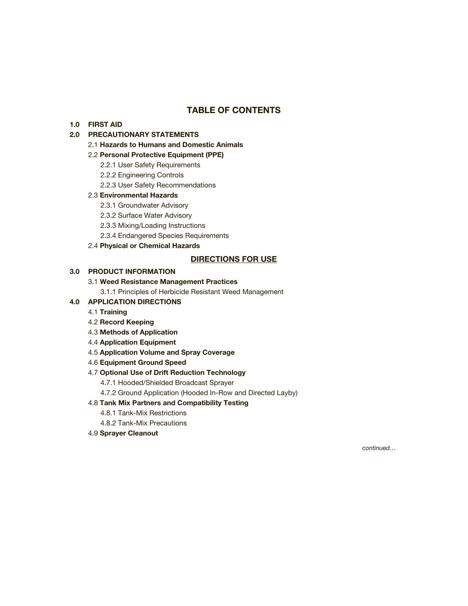## **TABLE OF CONTENTS**

## **1.0 FIRST AID**

## **2.0 PRECAUTIONARY STATEMENTS**

2.1 **Hazards to Humans and Domestic Animals**

## 2.2 **Personal Protective Equipment (PPE)**

- 2.2.1 User Safety Requirements
- 2.2.2 Engineering Controls
- 2.2.3 User Safety Recommendations

## 2.3 **Environmental Hazards**

- 2.3.1 Groundwater Advisory
- 2.3.2 Surface Water Advisory
- 2.3.3 Mixing/Loading Instructions
- 2.3.4 Endangered Species Requirements
- 2.4 **Physical or Chemical Hazards**

## **DIRECTIONS FOR USE**

## **3.0 PRODUCT INFORMATION**

## 3.1 **Weed Resistance Management Practices**

3.1.1 Principles of Herbicide Resistant Weed Management

- **4.0 APPLICATION DIRECTIONS**
	- 4.1 **Training**
	- 4.2 **Record Keeping**
	- 4.3 **Methods of Application**
	- 4.4 **Application Equipment**
	- 4.5 **Application Volume and Spray Coverage**
	- 4.6 **Equipment Ground Speed**

### 4.7 **Optional Use of Drift Reduction Technology**

- 4.7.1 Hooded/Shielded Broadcast Sprayer
- 4.7.2 Ground Application (Hooded In-Row and Directed Layby)

## 4.8 **Tank Mix Partners and Compatibility Testing**

- 4.8.1 Tank-Mix Restrictions
- 4.8.2 Tank-Mix Precautions
- 4.9 **Sprayer Cleanout**

continued…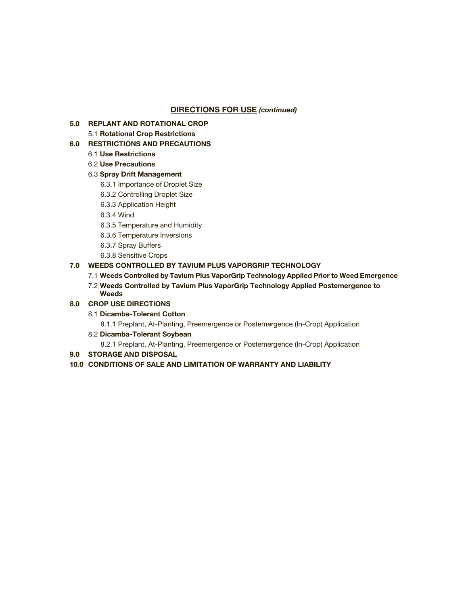## **DIRECTIONS FOR USE** *(continued)*

**5.0 REPLANT AND ROTATIONAL CROP**

5.1 **Rotational Crop Restrictions**

## **6.0 RESTRICTIONS AND PRECAUTIONS**

- 6.1 **Use Restrictions**
- 6.2 **Use Precautions**

## 6.3 **Spray Drift Management**

- 6.3.1 Importance of Droplet Size
- 6.3.2 Controlling Droplet Size
- 6.3.3 Application Height
- 6.3.4 Wind
- 6.3.5 Temperature and Humidity
- 6.3.6 Temperature Inversions
- 6.3.7 Spray Buffers
- 6.3.8 Sensitive Crops

## **7.0 WEEDS CONTROLLED BY TAVIUM PLUS VAPORGRIP TECHNOLOGY**

- 7.1 **Weeds Controlled by Tavium Plus VaporGrip Technology Applied Prior to Weed Emergence**
- 7.2 **Weeds Controlled by Tavium Plus VaporGrip Technology Applied Postemergence to Weeds**

## **8.0 CROP USE DIRECTIONS**

8.1 **Dicamba-Tolerant Cotton**

8.1.1 Preplant, At-Planting, Preemergence or Postemergence (In-Crop) Application

8.2 **Dicamba-Tolerant Soybean**

8.2.1 Preplant, At-Planting, Preemergence or Postemergence (In-Crop) Application

**9.0 STORAGE AND DISPOSAL**

## **10.0 CONDITIONS OF SALE AND LIMITATION OF WARRANTY AND LIABILITY**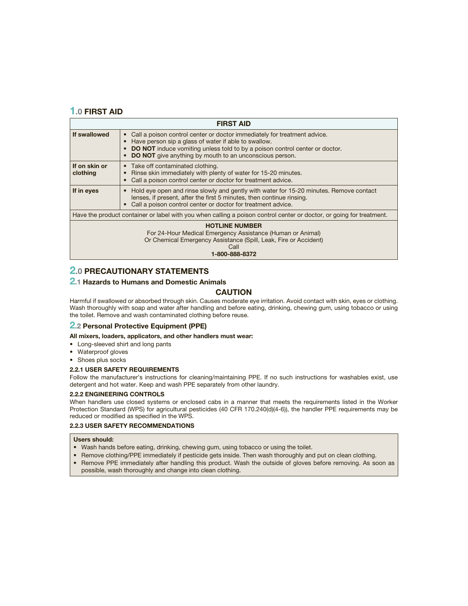## **1.0 FIRST AID**

| <b>FIRST AID</b>                                                                                                                                                                  |                                                                                                                                                                                                                                                                                                       |  |  |
|-----------------------------------------------------------------------------------------------------------------------------------------------------------------------------------|-------------------------------------------------------------------------------------------------------------------------------------------------------------------------------------------------------------------------------------------------------------------------------------------------------|--|--|
| If swallowed                                                                                                                                                                      | Call a poison control center or doctor immediately for treatment advice.<br>$\bullet$<br>Have person sip a glass of water if able to swallow.<br><b>DO NOT</b> induce vomiting unless told to by a poison control center or doctor.<br><b>DO NOT</b> give anything by mouth to an unconscious person. |  |  |
| If on skin or<br>clothing                                                                                                                                                         | • Take off contaminated clothing.<br>Rinse skin immediately with plenty of water for 15-20 minutes.<br>Call a poison control center or doctor for treatment advice.                                                                                                                                   |  |  |
| If in eyes                                                                                                                                                                        | Hold eye open and rinse slowly and gently with water for 15-20 minutes. Remove contact<br>$\bullet$<br>lenses, if present, after the first 5 minutes, then continue rinsing.<br>Call a poison control center or doctor for treatment advice.                                                          |  |  |
| Have the product container or label with you when calling a poison control center or doctor, or going for treatment.                                                              |                                                                                                                                                                                                                                                                                                       |  |  |
| <b>HOTLINE NUMBER</b><br>For 24-Hour Medical Emergency Assistance (Human or Animal)<br>Or Chemical Emergency Assistance (Spill, Leak, Fire or Accident)<br>Call<br>1-800-888-8372 |                                                                                                                                                                                                                                                                                                       |  |  |

## **2.0 PRECAUTIONARY STATEMENTS**

## **2.1 Hazards to Humans and Domestic Animals**

### **CAUTION**

Harmful if swallowed or absorbed through skin. Causes moderate eye irritation. Avoid contact with skin, eyes or clothing. Wash thoroughly with soap and water after handling and before eating, drinking, chewing gum, using tobacco or using the toilet. Remove and wash contaminated clothing before reuse.

### **2.2 Personal Protective Equipment (PPE)**

**All mixers, loaders, applicators, and other handlers must wear:**

- Long-sleeved shirt and long pants
- Waterproof gloves
- Shoes plus socks

### **2.2.1 USER SAFETY REQUIREMENTS**

Follow the manufacturer's instructions for cleaning/maintaining PPE. If no such instructions for washables exist, use detergent and hot water. Keep and wash PPE separately from other laundry.

### **2.2.2 ENGINEERING CONTROLS**

When handlers use closed systems or enclosed cabs in a manner that meets the requirements listed in the Worker Protection Standard (WPS) for agricultural pesticides (40 CFR 170.240(d)(4-6)), the handler PPE requirements may be reduced or modified as specified in the WPS.

### **2.2.3 USER SAFETY RECOMMENDATIONS**

### **Users should:**

- Wash hands before eating, drinking, chewing gum, using tobacco or using the toilet.
- Remove clothing/PPE immediately if pesticide gets inside. Then wash thoroughly and put on clean clothing.
- Remove PPE immediately after handling this product. Wash the outside of gloves before removing. As soon as possible, wash thoroughly and change into clean clothing.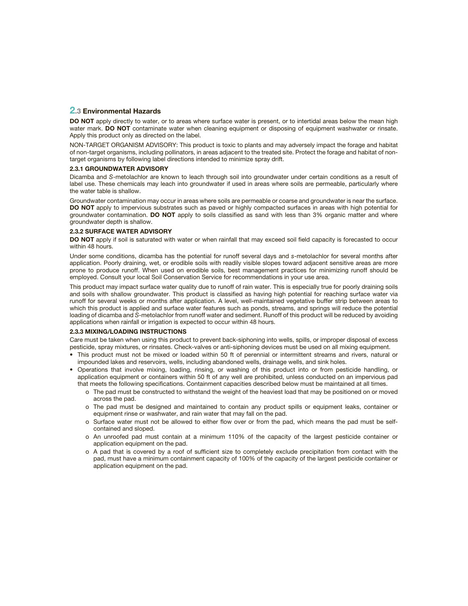### **2.3 Environmental Hazards**

**DO NOT** apply directly to water, or to areas where surface water is present, or to intertidal areas below the mean high water mark. **DO NOT** contaminate water when cleaning equipment or disposing of equipment washwater or rinsate. Apply this product only as directed on the label.

NON-TARGET ORGANISM ADVISORY: This product is toxic to plants and may adversely impact the forage and habitat of non-target organisms, including pollinators, in areas adjacent to the treated site. Protect the forage and habitat of nontarget organisms by following label directions intended to minimize spray drift.

### **2.3.1 GROUNDWATER ADVISORY**

Dicamba and S-metolachlor are known to leach through soil into groundwater under certain conditions as a result of label use. These chemicals may leach into groundwater if used in areas where soils are permeable, particularly where the water table is shallow.

Groundwater contamination may occur in areas where soils are permeable or coarse and groundwater is near the surface. **DO NOT** apply to impervious substrates such as paved or highly compacted surfaces in areas with high potential for groundwater contamination. **DO NOT** apply to soils classified as sand with less than 3% organic matter and where groundwater depth is shallow.

### **2.3.2 SURFACE WATER ADVISORY**

**DO NOT** apply if soil is saturated with water or when rainfall that may exceed soil field capacity is forecasted to occur within 48 hours.

Under some conditions, dicamba has the potential for runoff several days and s-metolachlor for several months after application. Poorly draining, wet, or erodible soils with readily visible slopes toward adjacent sensitive areas are more prone to produce runoff. When used on erodible soils, best management practices for minimizing runoff should be employed. Consult your local Soil Conservation Service for recommendations in your use area.

This product may impact surface water quality due to runoff of rain water. This is especially true for poorly draining soils and soils with shallow groundwater. This product is classified as having high potential for reaching surface water via runoff for several weeks or months after application. A level, well-maintained vegetative buffer strip between areas to which this product is applied and surface water features such as ponds, streams, and springs will reduce the potential loading of dicamba and S-metolachlor from runoff water and sediment. Runoff of this product will be reduced by avoiding applications when rainfall or irrigation is expected to occur within 48 hours.

### **2.3.3 MIXING/LOADING INSTRUCTIONS**

Care must be taken when using this product to prevent back-siphoning into wells, spills, or improper disposal of excess pesticide, spray mixtures, or rinsates. Check-valves or anti-siphoning devices must be used on all mixing equipment.

- This product must not be mixed or loaded within 50 ft of perennial or intermittent streams and rivers, natural or impounded lakes and reservoirs, wells, including abandoned wells, drainage wells, and sink holes.
- Operations that involve mixing, loading, rinsing, or washing of this product into or from pesticide handling, or application equipment or containers within 50 ft of any well are prohibited, unless conducted on an impervious pad that meets the following specifications. Containment capacities described below must be maintained at all times.
	- o The pad must be constructed to withstand the weight of the heaviest load that may be positioned on or moved across the pad.
	- o The pad must be designed and maintained to contain any product spills or equipment leaks, container or equipment rinse or washwater, and rain water that may fall on the pad.
	- o Surface water must not be allowed to either flow over or from the pad, which means the pad must be selfcontained and sloped.
	- o An unroofed pad must contain at a minimum 110% of the capacity of the largest pesticide container or application equipment on the pad.
	- o A pad that is covered by a roof of sufficient size to completely exclude precipitation from contact with the pad, must have a minimum containment capacity of 100% of the capacity of the largest pesticide container or application equipment on the pad.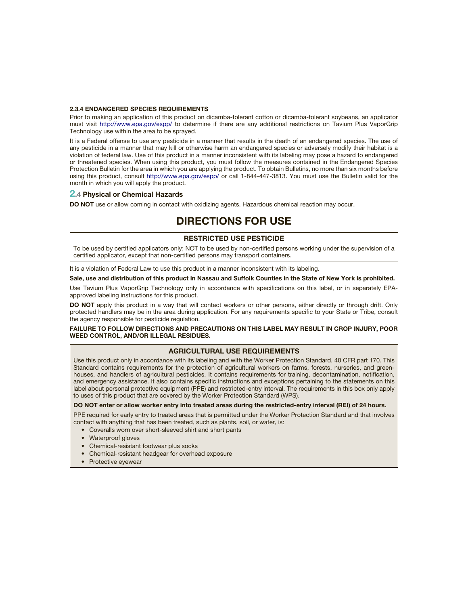### **2.3.4 ENDANGERED SPECIES REQUIREMENTS**

Prior to making an application of this product on dicamba-tolerant cotton or dicamba-tolerant soybeans, an applicator must visit <http://www.epa.gov/espp/>to determine if there are any additional restrictions on Tavium Plus VaporGrip Technology use within the area to be sprayed.

It is a Federal offense to use any pesticide in a manner that results in the death of an endangered species. The use of any pesticide in a manner that may kill or otherwise harm an endangered species or adversely modify their habitat is a violation of federal law. Use of this product in a manner inconsistent with its labeling may pose a hazard to endangered or threatened species. When using this product, you must follow the measures contained in the Endangered Species Protection Bulletin for the area in which you are applying the product. To obtain Bulletins, no more than six months before using this product, consult <http://www.epa.gov/espp/>or call 1-844-447-3813. You must use the Bulletin valid for the month in which you will apply the product.

### **2.4 Physical or Chemical Hazards**

**DO NOT** use or allow coming in contact with oxidizing agents. Hazardous chemical reaction may occur.

## **DIRECTIONS FOR USE**

### **RESTRICTED USE PESTICIDE**

To be used by certified applicators only; NOT to be used by non-certified persons working under the supervision of a certified applicator, except that non-certified persons may transport containers.

It is a violation of Federal Law to use this product in a manner inconsistent with its labeling.

### **Sale, use and distribution of this product in Nassau and Suffolk Counties in the State of New York is prohibited.**

Use Tavium Plus VaporGrip Technology only in accordance with specifications on this label, or in separately EPAapproved labeling instructions for this product.

**DO NOT** apply this product in a way that will contact workers or other persons, either directly or through drift. Only protected handlers may be in the area during application. For any requirements specific to your State or Tribe, consult the agency responsible for pesticide regulation.

**FAILURE TO FOLLOW DIRECTIONS AND PRECAUTIONS ON THIS LABEL MAY RESULT IN CROP INJURY, POOR WEED CONTROL, AND/OR ILLEGAL RESIDUES.**

### **AGRICULTURAL USE REQUIREMENTS**

Use this product only in accordance with its labeling and with the Worker Protection Standard, 40 CFR part 170. This Standard contains requirements for the protection of agricultural workers on farms, forests, nurseries, and greenhouses, and handlers of agricultural pesticides. It contains requirements for training, decontamination, notification, and emergency assistance. It also contains specific instructions and exceptions pertaining to the statements on this label about personal protective equipment (PPE) and restricted-entry interval. The requirements in this box only apply to uses of this product that are covered by the Worker Protection Standard (WPS).

### **DO NOT enter or allow worker entry into treated areas during the restricted-entry interval (REI) of 24 hours.**

PPE required for early entry to treated areas that is permitted under the Worker Protection Standard and that involves contact with anything that has been treated, such as plants, soil, or water, is:

• Coveralls worn over short-sleeved shirt and short pants

- Waterproof gloves
- Chemical-resistant footwear plus socks
- Chemical-resistant headgear for overhead exposure
- Protective eyewear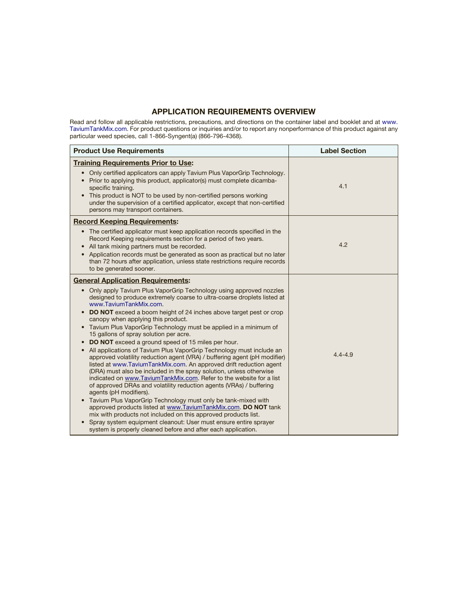## **APPLICATION REQUIREMENTS OVERVIEW**

Read and follow all applicable restrictions, precautions, and directions on the container label and booklet and at [www.](www.TaviumTankMix.com) [TaviumTankMix.com.](www.TaviumTankMix.com) For product questions or inquiries and/or to report any nonperformance of this product against any particular weed species, call 1-866-Syngent(a) (866-796-4368).

| <b>Product Use Requirements</b>                                                                                                                                                                                                                                                                                                                                                                                                                                                                                                                                                                                                                                                                                                                                                                                                                                                                                                                                                                                                                                                                                                                                                                                                                                                                                                                 | <b>Label Section</b> |
|-------------------------------------------------------------------------------------------------------------------------------------------------------------------------------------------------------------------------------------------------------------------------------------------------------------------------------------------------------------------------------------------------------------------------------------------------------------------------------------------------------------------------------------------------------------------------------------------------------------------------------------------------------------------------------------------------------------------------------------------------------------------------------------------------------------------------------------------------------------------------------------------------------------------------------------------------------------------------------------------------------------------------------------------------------------------------------------------------------------------------------------------------------------------------------------------------------------------------------------------------------------------------------------------------------------------------------------------------|----------------------|
| <b>Training Requirements Prior to Use:</b>                                                                                                                                                                                                                                                                                                                                                                                                                                                                                                                                                                                                                                                                                                                                                                                                                                                                                                                                                                                                                                                                                                                                                                                                                                                                                                      |                      |
| Only certified applicators can apply Tavium Plus VaporGrip Technology.<br>$\bullet$<br>Prior to applying this product, applicator(s) must complete dicamba-<br>$\bullet$<br>specific training.<br>This product is NOT to be used by non-certified persons working<br>$\bullet$<br>under the supervision of a certified applicator, except that non-certified<br>persons may transport containers.                                                                                                                                                                                                                                                                                                                                                                                                                                                                                                                                                                                                                                                                                                                                                                                                                                                                                                                                               | 4.1                  |
| <b>Record Keeping Requirements:</b>                                                                                                                                                                                                                                                                                                                                                                                                                                                                                                                                                                                                                                                                                                                                                                                                                                                                                                                                                                                                                                                                                                                                                                                                                                                                                                             |                      |
| The certified applicator must keep application records specified in the<br>$\bullet$<br>Record Keeping requirements section for a period of two years.<br>All tank mixing partners must be recorded.<br>$\bullet$<br>Application records must be generated as soon as practical but no later<br>$\bullet$<br>than 72 hours after application, unless state restrictions require records<br>to be generated sooner.                                                                                                                                                                                                                                                                                                                                                                                                                                                                                                                                                                                                                                                                                                                                                                                                                                                                                                                              | 4.2                  |
| <b>General Application Requirements:</b>                                                                                                                                                                                                                                                                                                                                                                                                                                                                                                                                                                                                                                                                                                                                                                                                                                                                                                                                                                                                                                                                                                                                                                                                                                                                                                        |                      |
| • Only apply Tavium Plus VaporGrip Technology using approved nozzles<br>designed to produce extremely coarse to ultra-coarse droplets listed at<br>www.TaviumTankMix.com.<br><b>DO NOT</b> exceed a boom height of 24 inches above target pest or crop<br>$\bullet$<br>canopy when applying this product.<br>Tavium Plus VaporGrip Technology must be applied in a minimum of<br>$\bullet$<br>15 gallons of spray solution per acre.<br><b>DO NOT</b> exceed a ground speed of 15 miles per hour.<br>$\bullet$<br>All applications of Tavium Plus VaporGrip Technology must include an<br>$\bullet$<br>approved volatility reduction agent (VRA) / buffering agent (pH modifier)<br>listed at www.TaviumTankMix.com. An approved drift reduction agent<br>(DRA) must also be included in the spray solution, unless otherwise<br>indicated on www.TaviumTankMix.com. Refer to the website for a list<br>of approved DRAs and volatility reduction agents (VRAs) / buffering<br>agents (pH modifiers).<br>Tavium Plus VaporGrip Technology must only be tank-mixed with<br>approved products listed at www.TaviumTankMix.com. DO NOT tank<br>mix with products not included on this approved products list.<br>Spray system equipment cleanout: User must ensure entire sprayer<br>system is properly cleaned before and after each application. | $4.4 - 4.9$          |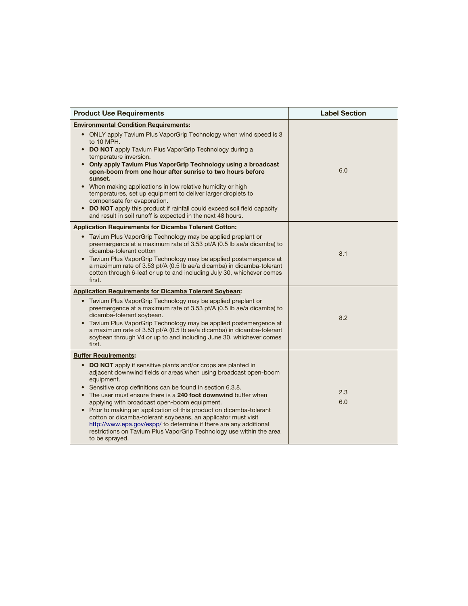| <b>Product Use Requirements</b>                                                                                                                                                                                                                                                                                                                                                                                                                                                                                                                                                                                                                       | <b>Label Section</b> |
|-------------------------------------------------------------------------------------------------------------------------------------------------------------------------------------------------------------------------------------------------------------------------------------------------------------------------------------------------------------------------------------------------------------------------------------------------------------------------------------------------------------------------------------------------------------------------------------------------------------------------------------------------------|----------------------|
| <b>Environmental Condition Requirements:</b>                                                                                                                                                                                                                                                                                                                                                                                                                                                                                                                                                                                                          |                      |
| • ONLY apply Tavium Plus VaporGrip Technology when wind speed is 3<br>to 10 MPH.<br>• DO NOT apply Tavium Plus VaporGrip Technology during a<br>temperature inversion.<br>• Only apply Tavium Plus VaporGrip Technology using a broadcast<br>open-boom from one hour after sunrise to two hours before<br>sunset.<br>• When making applications in low relative humidity or high<br>temperatures, set up equipment to deliver larger droplets to<br>compensate for evaporation.<br>• DO NOT apply this product if rainfall could exceed soil field capacity<br>and result in soil runoff is expected in the next 48 hours.                            | 6.0                  |
| <b>Application Requirements for Dicamba Tolerant Cotton:</b><br>• Tavium Plus VaporGrip Technology may be applied preplant or<br>preemergence at a maximum rate of 3.53 pt/A (0.5 lb ae/a dicamba) to<br>dicamba-tolerant cotton<br>Tavium Plus VaporGrip Technology may be applied postemergence at<br>a maximum rate of 3.53 pt/A (0.5 lb ae/a dicamba) in dicamba-tolerant<br>cotton through 6-leaf or up to and including July 30, whichever comes<br>first.                                                                                                                                                                                      | 8.1                  |
| <b>Application Requirements for Dicamba Tolerant Soybean:</b>                                                                                                                                                                                                                                                                                                                                                                                                                                                                                                                                                                                         |                      |
| • Tavium Plus VaporGrip Technology may be applied preplant or<br>preemergence at a maximum rate of 3.53 pt/A (0.5 lb ae/a dicamba) to<br>dicamba-tolerant soybean.<br>• Tavium Plus VaporGrip Technology may be applied postemergence at<br>a maximum rate of 3.53 pt/A (0.5 lb ae/a dicamba) in dicamba-tolerant<br>soybean through V4 or up to and including June 30, whichever comes<br>first.                                                                                                                                                                                                                                                     | 8.2                  |
| <b>Buffer Requirements:</b>                                                                                                                                                                                                                                                                                                                                                                                                                                                                                                                                                                                                                           |                      |
| DO NOT apply if sensitive plants and/or crops are planted in<br>$\bullet$<br>adjacent downwind fields or areas when using broadcast open-boom<br>equipment.<br>• Sensitive crop definitions can be found in section 6.3.8.<br>• The user must ensure there is a 240 foot downwind buffer when<br>applying with broadcast open-boom equipment.<br>• Prior to making an application of this product on dicamba-tolerant<br>cotton or dicamba-tolerant soybeans, an applicator must visit<br>http://www.epa.gov/espp/ to determine if there are any additional<br>restrictions on Tavium Plus VaporGrip Technology use within the area<br>to be sprayed. | 2.3<br>6.0           |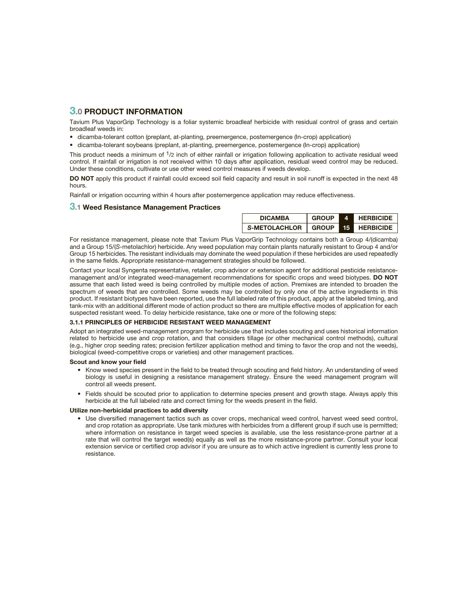## **3.0 PRODUCT INFORMATION**

Tavium Plus VaporGrip Technology is a foliar systemic broadleaf herbicide with residual control of grass and certain broadleaf weeds in:

- dicamba-tolerant cotton (preplant, at-planting, preemergence, postemergence (In-crop) application)
- dicamba-tolerant soybeans (preplant, at-planting, preemergence, postemergence (In-crop) application)

This product needs a minimum of 1/2 inch of either rainfall or irrigation following application to activate residual weed control. If rainfall or irrigation is not received within 10 days after application, residual weed control may be reduced. Under these conditions, cultivate or use other weed control measures if weeds develop.

**DO NOT** apply this product if rainfall could exceed soil field capacity and result in soil runoff is expected in the next 48 hours.

Rainfall or irrigation occurring within 4 hours after postemergence application may reduce effectiveness.

### **3.1 Weed Resistance Management Practices**

| <b>DICAMBA</b>        | <b>GROUP</b> |    | <b>HERBICIDE</b> |
|-----------------------|--------------|----|------------------|
| S-METOLACHLOR   GROUP |              | 15 | <b>HERBICIDE</b> |

For resistance management, please note that Tavium Plus VaporGrip Technology contains both a Group 4/(dicamba) and a Group 15/(S-metolachlor) herbicide. Any weed population may contain plants naturally resistant to Group 4 and/or Group 15 herbicides. The resistant individuals may dominate the weed population if these herbicides are used repeatedly in the same fields. Appropriate resistance-management strategies should be followed.

Contact your local Syngenta representative, retailer, crop advisor or extension agent for additional pesticide resistancemanagement and/or integrated weed-management recommendations for specific crops and weed biotypes. **DO NOT** assume that each listed weed is being controlled by multiple modes of action. Premixes are intended to broaden the spectrum of weeds that are controlled. Some weeds may be controlled by only one of the active ingredients in this product. If resistant biotypes have been reported, use the full labeled rate of this product, apply at the labeled timing, and tank-mix with an additional different mode of action product so there are multiple effective modes of application for each suspected resistant weed. To delay herbicide resistance, take one or more of the following steps:

### **3.1.1 PRINCIPLES OF HERBICIDE RESISTANT WEED MANAGEMENT**

Adopt an integrated weed-management program for herbicide use that includes scouting and uses historical information related to herbicide use and crop rotation, and that considers tillage (or other mechanical control methods), cultural (e.g., higher crop seeding rates; precision fertilizer application method and timing to favor the crop and not the weeds), biological (weed-competitive crops or varieties) and other management practices.

### **Scout and know your field**

- Know weed species present in the field to be treated through scouting and field history. An understanding of weed biology is useful in designing a resistance management strategy. Ensure the weed management program will control all weeds present.
- Fields should be scouted prior to application to determine species present and growth stage. Always apply this herbicide at the full labeled rate and correct timing for the weeds present in the field.

### **Utilize non-herbicidal practices to add diversity**

• Use diversified management tactics such as cover crops, mechanical weed control, harvest weed seed control, and crop rotation as appropriate. Use tank mixtures with herbicides from a different group if such use is permitted; where information on resistance in target weed species is available, use the less resistance-prone partner at a rate that will control the target weed(s) equally as well as the more resistance-prone partner. Consult your local extension service or certified crop advisor if you are unsure as to which active ingredient is currently less prone to resistance.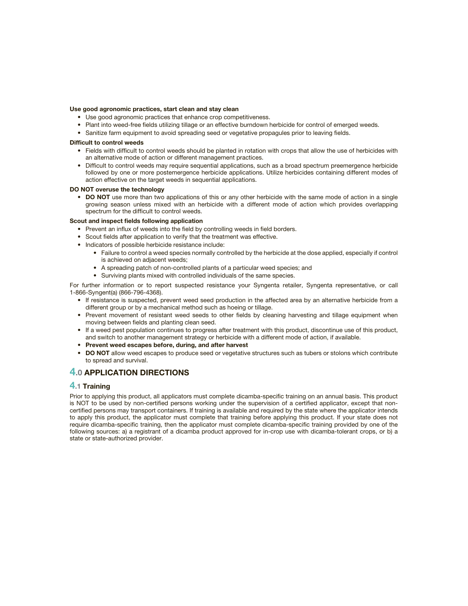### **Use good agronomic practices, start clean and stay clean**

- Use good agronomic practices that enhance crop competitiveness.
- Plant into weed-free fields utilizing tillage or an effective burndown herbicide for control of emerged weeds.
- Sanitize farm equipment to avoid spreading seed or vegetative propagules prior to leaving fields.

### **Difficult to control weeds**

- Fields with difficult to control weeds should be planted in rotation with crops that allow the use of herbicides with an alternative mode of action or different management practices.
- Difficult to control weeds may require sequential applications, such as a broad spectrum preemergence herbicide followed by one or more postemergence herbicide applications. Utilize herbicides containing different modes of action effective on the target weeds in sequential applications.

### **DO NOT overuse the technology**

• **DO NOT** use more than two applications of this or any other herbicide with the same mode of action in a single growing season unless mixed with an herbicide with a different mode of action which provides overlapping spectrum for the difficult to control weeds.

### **Scout and inspect fields following application**

- Prevent an influx of weeds into the field by controlling weeds in field borders.
- Scout fields after application to verify that the treatment was effective.
- Indicators of possible herbicide resistance include:
	- Failure to control a weed species normally controlled by the herbicide at the dose applied, especially if control is achieved on adjacent weeds;
	- A spreading patch of non-controlled plants of a particular weed species; and
	- Surviving plants mixed with controlled individuals of the same species.

For further information or to report suspected resistance your Syngenta retailer, Syngenta representative, or call 1-866-Syngent(a) (866-796-4368).

- If resistance is suspected, prevent weed seed production in the affected area by an alternative herbicide from a different group or by a mechanical method such as hoeing or tillage.
- Prevent movement of resistant weed seeds to other fields by cleaning harvesting and tillage equipment when moving between fields and planting clean seed.
- If a weed pest population continues to progress after treatment with this product, discontinue use of this product, and switch to another management strategy or herbicide with a different mode of action, if available.
- **Prevent weed escapes before, during, and after harvest**
- **DO NOT** allow weed escapes to produce seed or vegetative structures such as tubers or stolons which contribute to spread and survival.

## **4.0 APPLICATION DIRECTIONS**

### **4.1 Training**

Prior to applying this product, all applicators must complete dicamba-specific training on an annual basis. This product is NOT to be used by non-certified persons working under the supervision of a certified applicator, except that noncertified persons may transport containers. If training is available and required by the state where the applicator intends to apply this product, the applicator must complete that training before applying this product. If your state does not require dicamba-specific training, then the applicator must complete dicamba-specific training provided by one of the following sources: a) a registrant of a dicamba product approved for in-crop use with dicamba-tolerant crops, or b) a state or state-authorized provider.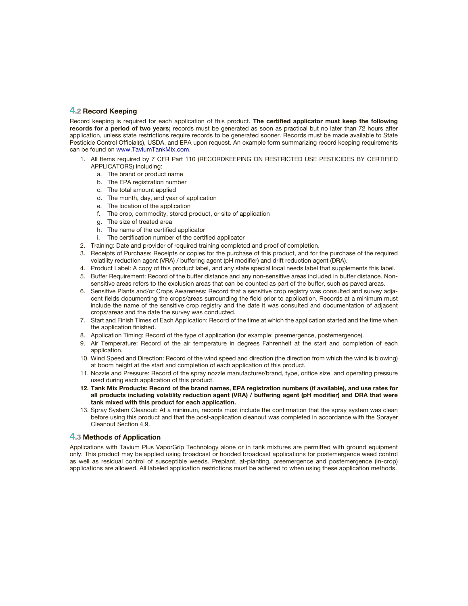### **4.2 Record Keeping**

Record keeping is required for each application of this product. **The certified applicator must keep the following records for a period of two years;** records must be generated as soon as practical but no later than 72 hours after application, unless state restrictions require records to be generated sooner. Records must be made available to State Pesticide Control Official(s), USDA, and EPA upon request. An example form summarizing record keeping requirements can be found on <www.TaviumTankMix.com>.

- 1. All Items required by 7 CFR Part 110 (RECORDKEEPING ON RESTRICTED USE PESTICIDES BY CERTIFIED APPLICATORS) including:
	- a. The brand or product name
	- b. The EPA registration number
	- c. The total amount applied
	- d. The month, day, and year of application
	- e. The location of the application
	- f. The crop, commodity, stored product, or site of application
	- g. The size of treated area
	- h. The name of the certified applicator
	- i. The certification number of the certified applicator
- 2. Training: Date and provider of required training completed and proof of completion.
- 3. Receipts of Purchase: Receipts or copies for the purchase of this product, and for the purchase of the required volatility reduction agent (VRA) / buffering agent (pH modifier) and drift reduction agent (DRA).
- 4. Product Label: A copy of this product label, and any state special local needs label that supplements this label.
- 5. Buffer Requirement: Record of the buffer distance and any non-sensitive areas included in buffer distance. Nonsensitive areas refers to the exclusion areas that can be counted as part of the buffer, such as paved areas.
- 6. Sensitive Plants and/or Crops Awareness: Record that a sensitive crop registry was consulted and survey adjacent fields documenting the crops/areas surrounding the field prior to application. Records at a minimum must include the name of the sensitive crop registry and the date it was consulted and documentation of adjacent crops/areas and the date the survey was conducted.
- 7. Start and Finish Times of Each Application: Record of the time at which the application started and the time when the application finished.
- 8. Application Timing: Record of the type of application (for example: preemergence, postemergence).
- 9. Air Temperature: Record of the air temperature in degrees Fahrenheit at the start and completion of each application
- 10. Wind Speed and Direction: Record of the wind speed and direction (the direction from which the wind is blowing) at boom height at the start and completion of each application of this product.
- 11. Nozzle and Pressure: Record of the spray nozzle manufacturer/brand, type, orifice size, and operating pressure used during each application of this product.
- **12. Tank Mix Products: Record of the brand names, EPA registration numbers (if available), and use rates for**  all products including volatility reduction agent (VRA) / buffering agent (pH modifier) and DRA that were **tank mixed with this product for each application.**
- 13. Spray System Cleanout: At a minimum, records must include the confirmation that the spray system was clean before using this product and that the post-application cleanout was completed in accordance with the Sprayer Cleanout Section 4.9.

### **4.3 Methods of Application**

Applications with Tavium Plus VaporGrip Technology alone or in tank mixtures are permitted with ground equipment only. This product may be applied using broadcast or hooded broadcast applications for postemergence weed control as well as residual control of susceptible weeds. Preplant, at-planting, preemergence and postemergence (In-crop) applications are allowed. All labeled application restrictions must be adhered to when using these application methods.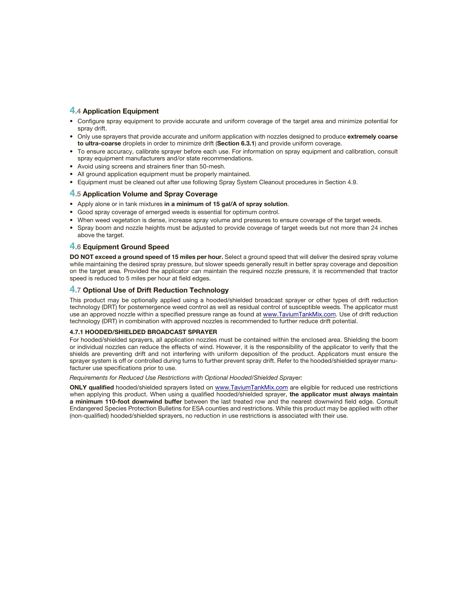## **4.4 Application Equipment**

- Configure spray equipment to provide accurate and uniform coverage of the target area and minimize potential for spray drift.
- Only use sprayers that provide accurate and uniform application with nozzles designed to produce **extremely coarse to ultra-coarse** droplets in order to minimize drift (**Section 6.3.1**) and provide uniform coverage.
- To ensure accuracy, calibrate sprayer before each use. For information on spray equipment and calibration, consult spray equipment manufacturers and/or state recommendations.
- Avoid using screens and strainers finer than 50-mesh.
- All ground application equipment must be properly maintained.
- Equipment must be cleaned out after use following Spray System Cleanout procedures in Section 4.9.

### **4.5 Application Volume and Spray Coverage**

- Apply alone or in tank mixtures **in a minimum of 15 gal/A of spray solution**.
- Good spray coverage of emerged weeds is essential for optimum control.
- When weed vegetation is dense, increase spray volume and pressures to ensure coverage of the target weeds.
- Spray boom and nozzle heights must be adjusted to provide coverage of target weeds but not more than 24 inches above the target.

### **4.6 Equipment Ground Speed**

**DO NOT exceed a ground speed of 15 miles per hour.** Select a ground speed that will deliver the desired spray volume while maintaining the desired spray pressure, but slower speeds generally result in better spray coverage and deposition on the target area. Provided the applicator can maintain the required nozzle pressure, it is recommended that tractor speed is reduced to 5 miles per hour at field edges.

### **4.7 Optional Use of Drift Reduction Technology**

This product may be optionally applied using a hooded/shielded broadcast sprayer or other types of drift reduction technology (DRT) for postemergence weed control as well as residual control of susceptible weeds. The applicator must use an approved nozzle within a specified pressure range as found at <www.TaviumTankMix.com>. Use of drift reduction technology (DRT) in combination with approved nozzles is recommended to further reduce drift potential.

### **4.7.1 HOODED/SHIELDED BROADCAST SPRAYER**

For hooded/shielded sprayers, all application nozzles must be contained within the enclosed area. Shielding the boom or individual nozzles can reduce the effects of wind. However, it is the responsibility of the applicator to verify that the shields are preventing drift and not interfering with uniform deposition of the product. Applicators must ensure the sprayer system is off or controlled during turns to further prevent spray drift. Refer to the hooded/shielded sprayer manufacturer use specifications prior to use.

Requirements for Reduced Use Restrictions with Optional Hooded/Shielded Sprayer:

**ONLY qualified** hooded/shielded sprayers listed on <www.TaviumTankMix.com> are eligible for reduced use restrictions when applying this product. When using a qualified hooded/shielded sprayer, the applicator must always maintain **a minimum 110-foot downwind buffer** between the last treated row and the nearest downwind field edge. Consult Endangered Species Protection Bulletins for ESA counties and restrictions. While this product may be applied with other (non-qualifi ed) hooded/shielded sprayers, no reduction in use restrictions is associated with their use.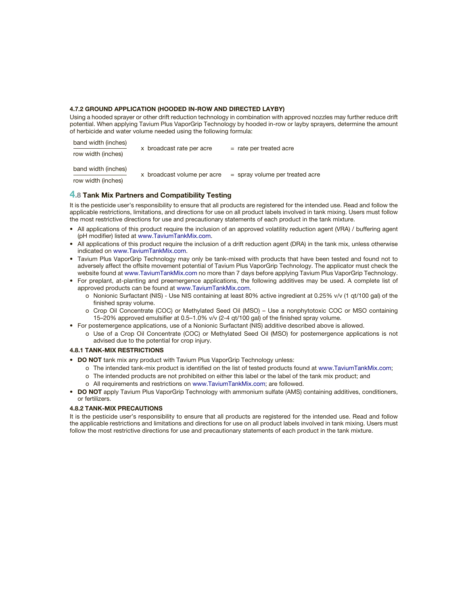### **4.7.2 GROUND APPLICATION (HOODED IN-ROW AND DIRECTED LAYBY)**

Using a hooded sprayer or other drift reduction technology in combination with approved nozzles may further reduce drift potential. When applying Tavium Plus VaporGrip Technology by hooded in-row or layby sprayers, determine the amount of herbicide and water volume needed using the following formula:

| band width (inches)<br>row width (inches) | x broadcast rate per acre   | $=$ rate per treated acre         |
|-------------------------------------------|-----------------------------|-----------------------------------|
| band width (inches)<br>row width (inches) | x broadcast volume per acre | $=$ spray volume per treated acre |

## **4.8 Tank Mix Partners and Compatibility Testing**

It is the pesticide user's responsibility to ensure that all products are registered for the intended use. Read and follow the applicable restrictions, limitations, and directions for use on all product labels involved in tank mixing. Users must follow the most restrictive directions for use and precautionary statements of each product in the tank mixture.

- All applications of this product require the inclusion of an approved volatility reduction agent (VRA) / buffering agent (pH modifier) listed at <www.TaviumTankMix.com>.
- All applications of this product require the inclusion of a drift reduction agent (DRA) in the tank mix, unless otherwise indicated on<www.TaviumTankMix.com>.
- Tavium Plus VaporGrip Technology may only be tank-mixed with products that have been tested and found not to adversely affect the offsite movement potential of Tavium Plus VaporGrip Technology. The applicator must check the website found at<www.TaviumTankMix.com> no more than 7 days before applying Tavium Plus VaporGrip Technology.
- For preplant, at-planting and preemergence applications, the following additives may be used. A complete list of approved products can be found at <www.TaviumTankMix.com>.
	- o Nonionic Surfactant (NIS) Use NIS containing at least 80% active ingredient at 0.25% v/v (1 qt/100 gal) of the finished spray volume.
	- o Crop Oil Concentrate (COC) or Methylated Seed Oil (MSO) Use a nonphytotoxic COC or MSO containing 15–20% approved emulsifier at 0.5–1.0% v/v (2-4 qt/100 gal) of the finished spray volume.
- For postemergence applications, use of a Nonionic Surfactant (NIS) additive described above is allowed.
	- o Use of a Crop Oil Concentrate (COC) or Methylated Seed Oil (MSO) for postemergence applications is not advised due to the potential for crop injury.

### **4.8.1 TANK-MIX RESTRICTIONS**

 $\mathbf{b}$  band width  $\mathbf{b}$ 

- **DO NOT** tank mix any product with Tavium Plus VaporGrip Technology unless:
	- o The intended tank-mix product is identified on the list of tested products found at [www.TaviumTankMix.com;](www.TaviumTankMix.com)
	- o The intended products are not prohibited on either this label or the label of the tank mix product; and
	- o All requirements and restrictions on <www.TaviumTankMix.com>; are followed.
- **DO NOT** apply Tavium Plus VaporGrip Technology with ammonium sulfate (AMS) containing additives, conditioners, or fertilizers.

### **4.8.2 TANK-MIX PRECAUTIONS**

It is the pesticide user's responsibility to ensure that all products are registered for the intended use. Read and follow the applicable restrictions and limitations and directions for use on all product labels involved in tank mixing. Users must follow the most restrictive directions for use and precautionary statements of each product in the tank mixture.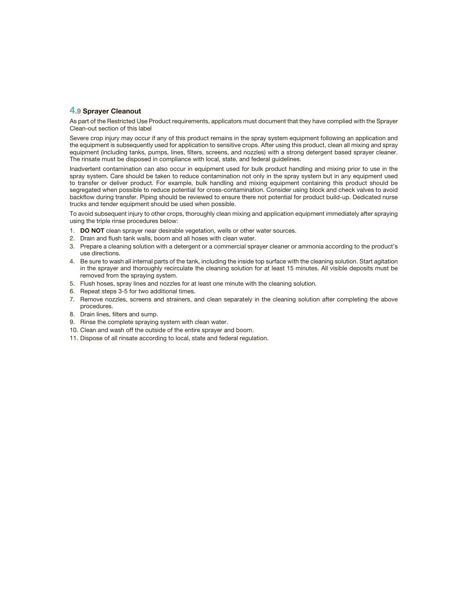### **4.9 Sprayer Cleanout**

As part of the Restricted Use Product requirements, applicators must document that they have complied with the Sprayer Clean-out section of this label

Severe crop injury may occur if any of this product remains in the spray system equipment following an application and the equipment is subsequently used for application to sensitive crops. After using this product, clean all mixing and spray equipment (including tanks, pumps, lines, filters, screens, and nozzles) with a strong detergent based sprayer cleaner. The rinsate must be disposed in compliance with local, state, and federal guidelines.

Inadvertent contamination can also occur in equipment used for bulk product handling and mixing prior to use in the spray system. Care should be taken to reduce contamination not only in the spray system but in any equipment used to transfer or deliver product. For example, bulk handling and mixing equipment containing this product should be segregated when possible to reduce potential for cross-contamination. Consider using block and check valves to avoid backflow during transfer. Piping should be reviewed to ensure there not potential for product build-up. Dedicated nurse trucks and tender equipment should be used when possible.

To avoid subsequent injury to other crops, thoroughly clean mixing and application equipment immediately after spraying using the triple rinse procedures below:

- 1. **DO NOT** clean sprayer near desirable vegetation, wells or other water sources.
- 2. Drain and flush tank walls, boom and all hoses with clean water.
- 3. Prepare a cleaning solution with a detergent or a commercial sprayer cleaner or ammonia according to the product's use directions.
- 4. Be sure to wash all internal parts of the tank, including the inside top surface with the cleaning solution. Start agitation in the sprayer and thoroughly recirculate the cleaning solution for at least 15 minutes. All visible deposits must be removed from the spraying system.
- 5. Flush hoses, spray lines and nozzles for at least one minute with the cleaning solution.
- 6. Repeat steps 3-5 for two additional times.
- 7. Remove nozzles, screens and strainers, and clean separately in the cleaning solution after completing the above procedures.
- 8. Drain lines, filters and sump.
- 9. Rinse the complete spraying system with clean water.
- 10. Clean and wash off the outside of the entire sprayer and boom.
- 11. Dispose of all rinsate according to local, state and federal regulation.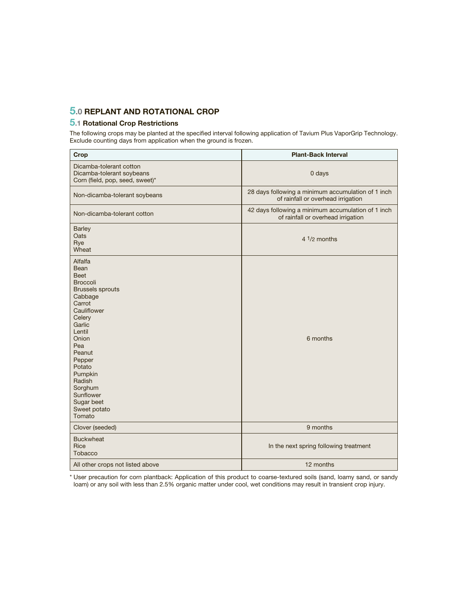## **5.0 REPLANT AND ROTATIONAL CROP**

## **5.1 Rotational Crop Restrictions**

The following crops may be planted at the specified interval following application of Tavium Plus VaporGrip Technology. Exclude counting days from application when the ground is frozen.

| Crop                                                                                                                                                                                                                                                                              | <b>Plant-Back Interval</b>                                                               |
|-----------------------------------------------------------------------------------------------------------------------------------------------------------------------------------------------------------------------------------------------------------------------------------|------------------------------------------------------------------------------------------|
| Dicamba-tolerant cotton<br>Dicamba-tolerant soybeans<br>Corn (field, pop, seed, sweet)*                                                                                                                                                                                           | 0 days                                                                                   |
| Non-dicamba-tolerant soybeans                                                                                                                                                                                                                                                     | 28 days following a minimum accumulation of 1 inch<br>of rainfall or overhead irrigation |
| Non-dicamba-tolerant cotton                                                                                                                                                                                                                                                       | 42 days following a minimum accumulation of 1 inch<br>of rainfall or overhead irrigation |
| <b>Barley</b><br>Oats<br>Rye<br>Wheat                                                                                                                                                                                                                                             | $4\frac{1}{2}$ months                                                                    |
| Alfalfa<br>Bean<br><b>Beet</b><br><b>Broccoli</b><br><b>Brussels sprouts</b><br>Cabbage<br>Carrot<br>Cauliflower<br>Celery<br>Garlic<br>Lentil<br>Onion<br>Pea<br>Peanut<br>Pepper<br>Potato<br>Pumpkin<br>Radish<br>Sorghum<br>Sunflower<br>Sugar beet<br>Sweet potato<br>Tomato | 6 months                                                                                 |
| Clover (seeded)                                                                                                                                                                                                                                                                   | 9 months                                                                                 |
| <b>Buckwheat</b><br>Rice<br><b>Tobacco</b>                                                                                                                                                                                                                                        | In the next spring following treatment                                                   |
| All other crops not listed above                                                                                                                                                                                                                                                  | 12 months                                                                                |

\* User precaution for corn plantback: Application of this product to coarse-textured soils (sand, loamy sand, or sandy loam) or any soil with less than 2.5% organic matter under cool, wet conditions may result in transient crop injury.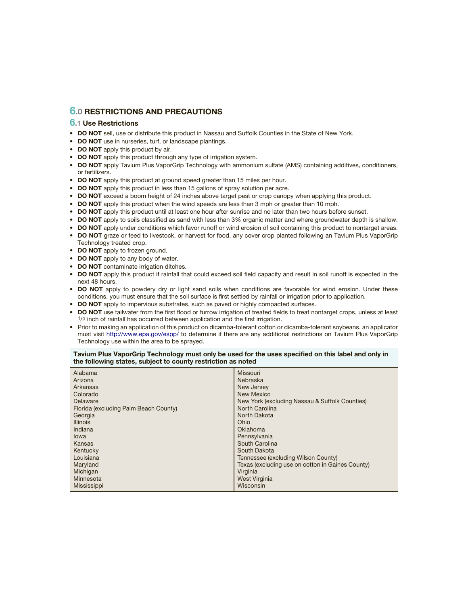## **6.0 RESTRICTIONS AND PRECAUTIONS**

### **6.1 Use Restrictions**

- **DO NOT** sell, use or distribute this product in Nassau and Suffolk Counties in the State of New York.
- **DO NOT** use in nurseries, turf, or landscape plantings.
- **DO NOT** apply this product by air.
- **DO NOT** apply this product through any type of irrigation system.
- **DO NOT** apply Tavium Plus VaporGrip Technology with ammonium sulfate (AMS) containing additives, conditioners, or fertilizers.
- **DO NOT** apply this product at ground speed greater than 15 miles per hour.
- **DO NOT** apply this product in less than 15 gallons of spray solution per acre.
- **DO NOT** exceed a boom height of 24 inches above target pest or crop canopy when applying this product.
- **DO NOT** apply this product when the wind speeds are less than 3 mph or greater than 10 mph.
- **DO NOT** apply this product until at least one hour after sunrise and no later than two hours before sunset.
- **DO NOT** apply to soils classified as sand with less than 3% organic matter and where groundwater depth is shallow.
- **DO NOT** apply under conditions which favor runoff or wind erosion of soil containing this product to nontarget areas.
- **DO NOT** graze or feed to livestock, or harvest for food, any cover crop planted following an Tavium Plus VaporGrip Technology treated crop.
- **DO NOT** apply to frozen ground.
- **DO NOT** apply to any body of water.
- **DO NOT** contaminate irrigation ditches.
- DO NOT apply this product if rainfall that could exceed soil field capacity and result in soil runoff is expected in the next 48 hours.
- **DO NOT** apply to powdery dry or light sand soils when conditions are favorable for wind erosion. Under these conditions, you must ensure that the soil surface is first settled by rainfall or irrigation prior to application.
- **DO NOT** apply to impervious substrates, such as paved or highly compacted surfaces.
- DO NOT use tailwater from the first flood or furrow irrigation of treated fields to treat nontarget crops, unless at least  $1/2$  inch of rainfall has occurred between application and the first irrigation.
- Prior to making an application of this product on dicamba-tolerant cotton or dicamba-tolerant soybeans, an applicator must visit <http://www.epa.gov/espp/> to determine if there are any additional restrictions on Tavium Plus VaporGrip Technology use within the area to be sprayed.

### Tavium Plus VaporGrip Technology must only be used for the uses specified on this label and only in **the following states, subject to county restriction as noted**

| Alabama<br>Arizona<br>Arkansas<br>Colorado<br>Delaware<br>Florida (excluding Palm Beach County)<br>Georgia<br><b>Illinois</b><br>Indiana<br>lowa | Missouri<br>Nebraska<br>New Jersey<br>New Mexico<br>New York (excluding Nassau & Suffolk Counties)<br>North Carolina<br>North Dakota<br>Ohio<br>Oklahoma<br>Pennsylvania |
|--------------------------------------------------------------------------------------------------------------------------------------------------|--------------------------------------------------------------------------------------------------------------------------------------------------------------------------|
| Kansas<br>Kentucky                                                                                                                               | South Carolina<br>South Dakota                                                                                                                                           |
| Louisiana                                                                                                                                        | Tennessee (excluding Wilson County)                                                                                                                                      |
| Maryland                                                                                                                                         | Texas (excluding use on cotton in Gaines County)                                                                                                                         |
| Michigan                                                                                                                                         | Virginia                                                                                                                                                                 |
| Minnesota                                                                                                                                        | West Virginia                                                                                                                                                            |
| Mississippi                                                                                                                                      | Wisconsin                                                                                                                                                                |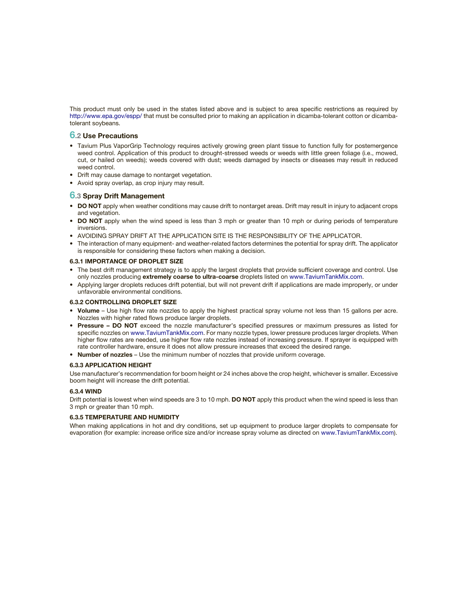This product must only be used in the states listed above and is subject to area specific restrictions as required by <http://www.epa.gov/espp/> that must be consulted prior to making an application in dicamba-tolerant cotton or dicambatolerant soybeans.

### **6.2 Use Precautions**

- Tavium Plus VaporGrip Technology requires actively growing green plant tissue to function fully for postemergence weed control. Application of this product to drought-stressed weeds or weeds with little green foliage (i.e., mowed, cut, or hailed on weeds); weeds covered with dust; weeds damaged by insects or diseases may result in reduced weed control.
- Drift may cause damage to nontarget vegetation.
- Avoid spray overlap, as crop injury may result.

### **6.3 Spray Drift Management**

- **DO NOT** apply when weather conditions may cause drift to nontarget areas. Drift may result in injury to adjacent crops and vegetation.
- **DO NOT** apply when the wind speed is less than 3 mph or greater than 10 mph or during periods of temperature inversions.
- AVOIDING SPRAY DRIFT AT THE APPLICATION SITE IS THE RESPONSIBILITY OF THE APPLICATOR.
- The interaction of many equipment- and weather-related factors determines the potential for spray drift. The applicator is responsible for considering these factors when making a decision.

### **6.3.1 IMPORTANCE OF DROPLET SIZE**

- The best drift management strategy is to apply the largest droplets that provide sufficient coverage and control. Use only nozzles producing **extremely coarse to ultra-coarse** droplets listed on <www.TaviumTankMix.com>.
- Applying larger droplets reduces drift potential, but will not prevent drift if applications are made improperly, or under unfavorable environmental conditions.

### **6.3.2 CONTROLLING DROPLET SIZE**

- Volume Use high flow rate nozzles to apply the highest practical spray volume not less than 15 gallons per acre. Nozzles with higher rated flows produce larger droplets.
- **Pressure DO NOT** exceed the nozzle manufacturer's specified pressures or maximum pressures as listed for specific nozzles on<www.TaviumTankMix.com>. For many nozzle types, lower pressure produces larger droplets. When higher flow rates are needed, use higher flow rate nozzles instead of increasing pressure. If sprayer is equipped with rate controller hardware, ensure it does not allow pressure increases that exceed the desired range.
- **Number of nozzles** Use the minimum number of nozzles that provide uniform coverage.

### **6.3.3 APPLICATION HEIGHT**

Use manufacturer's recommendation for boom height or 24 inches above the crop height, whichever is smaller. Excessive boom height will increase the drift potential.

### **6.3.4 WIND**

Drift potential is lowest when wind speeds are 3 to 10 mph. **DO NOT** apply this product when the wind speed is less than 3 mph or greater than 10 mph.

### **6.3.5 TEMPERATURE AND HUMIDITY**

When making applications in hot and dry conditions, set up equipment to produce larger droplets to compensate for evaporation (for example: increase orifice size and/or increase spray volume as directed on<www.TaviumTankMix.com>).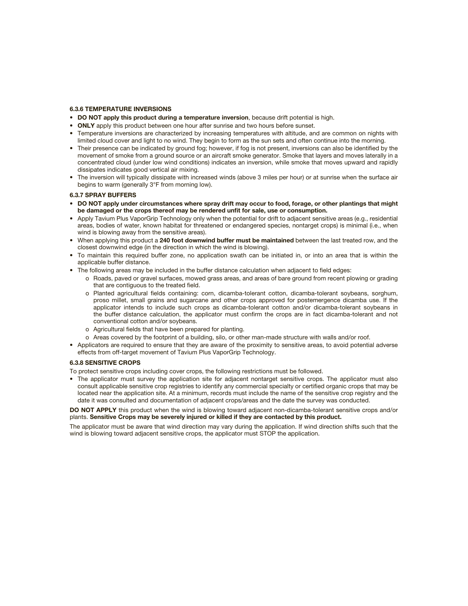### **6.3.6 TEMPERATURE INVERSIONS**

- **DO NOT apply this product during a temperature inversion**, because drift potential is high.
- **ONLY** apply this product between one hour after sunrise and two hours before sunset.
- Temperature inversions are characterized by increasing temperatures with altitude, and are common on nights with limited cloud cover and light to no wind. They begin to form as the sun sets and often continue into the morning.
- Their presence can be indicated by ground fog; however, if fog is not present, inversions can also be identified by the movement of smoke from a ground source or an aircraft smoke generator. Smoke that layers and moves laterally in a concentrated cloud (under low wind conditions) indicates an inversion, while smoke that moves upward and rapidly dissipates indicates good vertical air mixing.
- The inversion will typically dissipate with increased winds (above 3 miles per hour) or at sunrise when the surface air begins to warm (generally 3°F from morning low).

### **6.3.7 SPRAY BUFFERS**

- **DO NOT apply under circumstances where spray drift may occur to food, forage, or other plantings that might**  be damaged or the crops thereof may be rendered unfit for sale, use or consumption.
- Apply Tavium Plus VaporGrip Technology only when the potential for drift to adjacent sensitive areas (e.g., residential areas, bodies of water, known habitat for threatened or endangered species, nontarget crops) is minimal (i.e., when wind is blowing away from the sensitive areas).
- When applying this product a **240 foot downwind buffer must be maintained** between the last treated row, and the closest downwind edge (in the direction in which the wind is blowing).
- To maintain this required buffer zone, no application swath can be initiated in, or into an area that is within the applicable buffer distance.
- The following areas may be included in the buffer distance calculation when adjacent to field edges:
	- o Roads, paved or gravel surfaces, mowed grass areas, and areas of bare ground from recent plowing or grading that are contiguous to the treated field.
	- o Planted agricultural fields containing: corn, dicamba-tolerant cotton, dicamba-tolerant soybeans, sorghum, proso millet, small grains and sugarcane and other crops approved for postemergence dicamba use. If the applicator intends to include such crops as dicamba-tolerant cotton and/or dicamba-tolerant soybeans in the buffer distance calculation, the applicator must confirm the crops are in fact dicamba-tolerant and not conventional cotton and/or soybeans.
	- o Agricultural fields that have been prepared for planting.
	- o Areas covered by the footprint of a building, silo, or other man-made structure with walls and/or roof.
- Applicators are required to ensure that they are aware of the proximity to sensitive areas, to avoid potential adverse effects from off-target movement of Tavium Plus VaporGrip Technology.

### **6.3.8 SENSITIVE CROPS**

To protect sensitive crops including cover crops, the following restrictions must be followed.

• The applicator must survey the application site for adjacent nontarget sensitive crops. The applicator must also consult applicable sensitive crop registries to identify any commercial specialty or certified organic crops that may be located near the application site. At a minimum, records must include the name of the sensitive crop registry and the date it was consulted and documentation of adjacent crops/areas and the date the survey was conducted.

**DO NOT APPLY** this product when the wind is blowing toward adjacent non-dicamba-tolerant sensitive crops and/or plants. **Sensitive Crops may be severely injured or killed if they are contacted by this product.**

The applicator must be aware that wind direction may vary during the application. If wind direction shifts such that the wind is blowing toward adjacent sensitive crops, the applicator must STOP the application.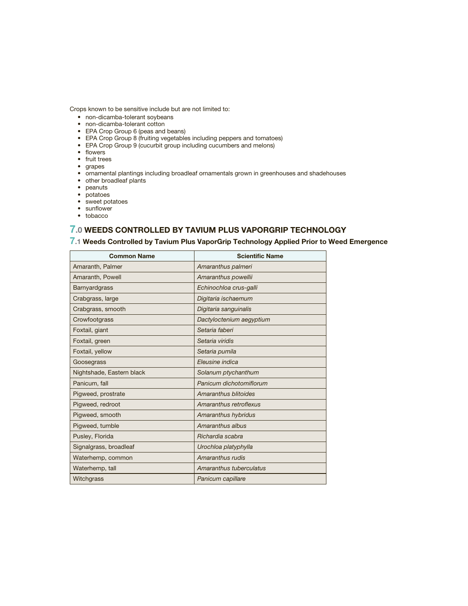Crops known to be sensitive include but are not limited to:

- non-dicamba-tolerant soybeans
- non-dicamba-tolerant cotton
- EPA Crop Group 6 (peas and beans)
- EPA Crop Group 8 (fruiting vegetables including peppers and tomatoes)
- EPA Crop Group 9 (cucurbit group including cucumbers and melons)
- flowers
- fruit trees
- grapes
- ornamental plantings including broadleaf ornamentals grown in greenhouses and shadehouses
- other broadleaf plants
- peanuts
- potatoes
- sweet potatoes
- $\bullet$  sunflower
- tobacco

## **7.0 WEEDS CONTROLLED BY TAVIUM PLUS VAPORGRIP TECHNOLOGY**

## **7.1 Weeds Controlled by Tavium Plus VaporGrip Technology Applied Prior to Weed Emergence**

| <b>Common Name</b>        | <b>Scientific Name</b>   |
|---------------------------|--------------------------|
| Amaranth, Palmer          | Amaranthus palmeri       |
| Amaranth, Powell          | Amaranthus powellii      |
| Barnyardgrass             | Echinochloa crus-galli   |
| Crabgrass, large          | Digitaria ischaemum      |
| Crabgrass, smooth         | Digitaria sanguinalis    |
| Crowfootgrass             | Dactyloctenium aegyptium |
| Foxtail, giant            | Setaria faberi           |
| Foxtail, green            | Setaria viridis          |
| Foxtail, yellow           | Setaria pumila           |
| Goosegrass                | Eleusine indica          |
| Nightshade, Eastern black | Solanum ptychanthum      |
| Panicum, fall             | Panicum dichotomiflorum  |
| Pigweed, prostrate        | Amaranthus blitoides     |
| Pigweed, redroot          | Amaranthus retroflexus   |
| Pigweed, smooth           | Amaranthus hybridus      |
| Pigweed, tumble           | Amaranthus albus         |
| Pusley, Florida           | Richardia scabra         |
| Signalgrass, broadleaf    | Urochloa platyphylla     |
| Waterhemp, common         | Amaranthus rudis         |
| Waterhemp, tall           | Amaranthus tuberculatus  |
| Witchgrass                | Panicum capillare        |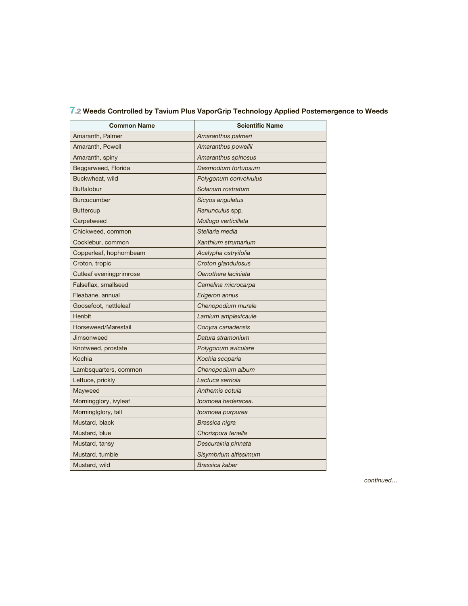| Common Name             | <b>Scientific Name</b> |  |
|-------------------------|------------------------|--|
| Amaranth, Palmer        | Amaranthus palmeri     |  |
| Amaranth, Powell        | Amaranthus powellii    |  |
| Amaranth, spiny         | Amaranthus spinosus    |  |
| Beggarweed, Florida     | Desmodium tortuosum    |  |
| Buckwheat, wild         | Polygonum convolvulus  |  |
| <b>Buffalobur</b>       | Solanum rostratum      |  |
| <b>Burcucumber</b>      | Sicyos angulatus       |  |
| <b>Buttercup</b>        | Ranunculus spp.        |  |
| Carpetweed              | Mullugo verticillata   |  |
| Chickweed, common       | Stellaria media        |  |
| Cocklebur, common       | Xanthium strumarium    |  |
| Copperleaf, hophornbeam | Acalypha ostryifolia   |  |
| Croton, tropic          | Croton glandulosus     |  |
| Cutleaf eveningprimrose | Oenothera laciniata    |  |
| Falseflax, smallseed    | Camelina microcarpa    |  |
| Fleabane, annual        | Erigeron annus         |  |
| Goosefoot, nettleleaf   | Chenopodium murale     |  |
| Henbit                  | Lamium amplexicaule    |  |
| Horseweed/Marestail     | Conyza canadensis      |  |
| Jimsonweed              | Datura stramonium      |  |
| Knotweed, prostate      | Polygonum aviculare    |  |
| Kochia                  | Kochia scoparia        |  |
| Lambsquarters, common   | Chenopodium album      |  |
| Lettuce, prickly        | Lactuca serriola       |  |
| Mayweed                 | Anthemis cotula        |  |
| Morningglory, ivyleaf   | Ipomoea hederacea.     |  |
| Morninglglory, tall     | Ipomoea purpurea       |  |
| Mustard, black          | Brassica nigra         |  |
| Mustard, blue           | Chorispora tenella     |  |
| Mustard, tansy          | Descurainia pinnata    |  |
| Mustard, tumble         | Sisymbrium altissimum  |  |
| Mustard, wild           | <b>Brassica kaber</b>  |  |

## **7.2 Weeds Controlled by Tavium Plus VaporGrip Technology Applied Postemergence to Weeds**

continued…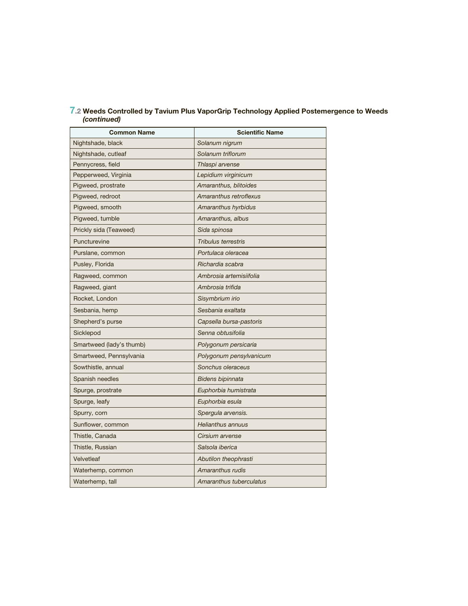| <b>Common Name</b>       | <b>Scientific Name</b>     |
|--------------------------|----------------------------|
| Nightshade, black        | Solanum nigrum             |
| Nightshade, cutleaf      | Solanum triflorum          |
| Pennycress, field        | Thlaspi arvense            |
| Pepperweed, Virginia     | Lepidium virginicum        |
| Pigweed, prostrate       | Amaranthus, blitoides      |
| Pigweed, redroot         | Amaranthus retroflexus     |
| Pigweed, smooth          | Amaranthus hyrbidus        |
| Pigweed, tumble          | Amaranthus, albus          |
| Prickly sida (Teaweed)   | Sida spinosa               |
| Puncturevine             | <b>Tribulus terrestris</b> |
| Purslane, common         | Portulaca oleracea         |
| Pusley, Florida          | Richardia scabra           |
| Ragweed, common          | Ambrosia artemisiifolia    |
| Ragweed, giant           | Ambrosia trifida           |
| Rocket, London           | Sisymbrium irio            |
| Sesbania, hemp           | Sesbania exaltata          |
| Shepherd's purse         | Capsella bursa-pastoris    |
| Sicklepod                | Senna obtusifolia          |
| Smartweed (lady's thumb) | Polygonum persicaria       |
| Smartweed, Pennsylvania  | Polygonum pensylvanicum    |
| Sowthistle, annual       | Sonchus oleraceus          |
| Spanish needles          | Bidens bipinnata           |
| Spurge, prostrate        | Euphorbia humistrata       |
| Spurge, leafy            | Euphorbia esula            |
| Spurry, corn             | Spergula arvensis.         |
| Sunflower, common        | <b>Helianthus annuus</b>   |
| Thistle, Canada          | Cirsium arvense            |
| Thistle, Russian         | Salsola iberica            |
| Velvetleaf               | Abutilon theophrasti       |
| Waterhemp, common        | Amaranthus rudis           |
| Waterhemp, tall          | Amaranthus tuberculatus    |

## **7.2 Weeds Controlled by Tavium Plus VaporGrip Technology Applied Postemergence to Weeds**  *(continued)*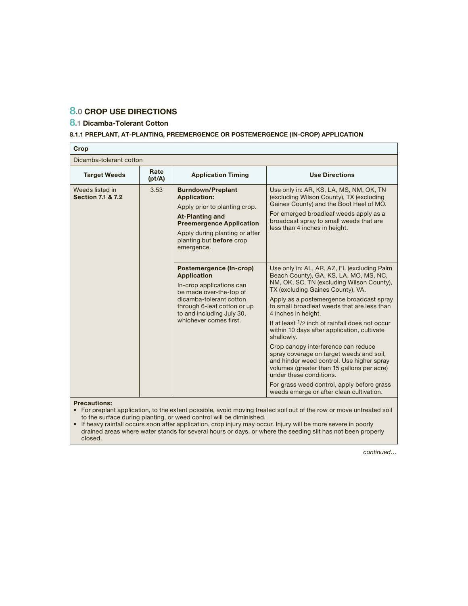## **8.0 CROP USE DIRECTIONS**

## **8.1 Dicamba-Tolerant Cotton**

## **8.1.1 PREPLANT, AT-PLANTING, PREEMERGENCE OR POSTEMERGENCE (IN-CROP) APPLICATION**

| Crop                                            |                                                                                                                                                                                                                                          |                                                                                                                                                                                                                                                      |                                                                                                                                                                                                                                                                                                                                                                                                                                                                                                                                                                                                                                                                                                              |
|-------------------------------------------------|------------------------------------------------------------------------------------------------------------------------------------------------------------------------------------------------------------------------------------------|------------------------------------------------------------------------------------------------------------------------------------------------------------------------------------------------------------------------------------------------------|--------------------------------------------------------------------------------------------------------------------------------------------------------------------------------------------------------------------------------------------------------------------------------------------------------------------------------------------------------------------------------------------------------------------------------------------------------------------------------------------------------------------------------------------------------------------------------------------------------------------------------------------------------------------------------------------------------------|
| Dicamba-tolerant cotton                         |                                                                                                                                                                                                                                          |                                                                                                                                                                                                                                                      |                                                                                                                                                                                                                                                                                                                                                                                                                                                                                                                                                                                                                                                                                                              |
| <b>Target Weeds</b>                             | Rate<br>(pt/A)                                                                                                                                                                                                                           | <b>Application Timing</b>                                                                                                                                                                                                                            | <b>Use Directions</b>                                                                                                                                                                                                                                                                                                                                                                                                                                                                                                                                                                                                                                                                                        |
| Weeds listed in<br><b>Section 7.1 &amp; 7.2</b> | 3.53<br><b>Burndown/Preplant</b><br><b>Application:</b><br>Apply prior to planting crop.<br><b>At-Planting and</b><br><b>Preemergence Application</b><br>Apply during planting or after<br>planting but <b>before</b> crop<br>emergence. | Use only in: AR, KS, LA, MS, NM, OK, TN<br>(excluding Wilson County), TX (excluding<br>Gaines County) and the Boot Heel of MO.<br>For emerged broadleaf weeds apply as a<br>broadcast spray to small weeds that are<br>less than 4 inches in height. |                                                                                                                                                                                                                                                                                                                                                                                                                                                                                                                                                                                                                                                                                                              |
|                                                 |                                                                                                                                                                                                                                          | Postemergence (In-crop)<br><b>Application</b><br>In-crop applications can<br>be made over-the-top of<br>dicamba-tolerant cotton<br>through 6-leaf cotton or up<br>to and including July 30,<br>whichever comes first.                                | Use only in: AL, AR, AZ, FL (excluding Palm<br>Beach County), GA, KS, LA, MO, MS, NC,<br>NM, OK, SC, TN (excluding Wilson County),<br>TX (excluding Gaines County), VA.<br>Apply as a postemergence broadcast spray<br>to small broadleaf weeds that are less than<br>4 inches in height.<br>If at least 1/2 inch of rainfall does not occur<br>within 10 days after application, cultivate<br>shallowly.<br>Crop canopy interference can reduce<br>spray coverage on target weeds and soil,<br>and hinder weed control. Use higher spray<br>volumes (greater than 15 gallons per acre)<br>under these conditions.<br>For grass weed control, apply before grass<br>weeds emerge or after clean cultivation. |

**Precautions:**

• For preplant application, to the extent possible, avoid moving treated soil out of the row or move untreated soil to the surface during planting, or weed control will be diminished.

• If heavy rainfall occurs soon after application, crop injury may occur. Injury will be more severe in poorly drained areas where water stands for several hours or days, or where the seeding slit has not been properly closed.

continued…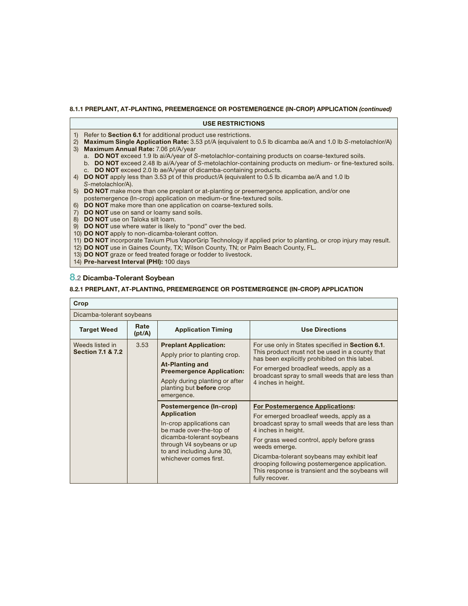## **8.1.1 PREPLANT, AT-PLANTING, PREEMERGENCE OR POSTEMERGENCE (IN-CROP) APPLICATION** *(continued)*

| <b>USE RESTRICTIONS</b>                                                                                                                                                                 |  |  |  |  |  |  |
|-----------------------------------------------------------------------------------------------------------------------------------------------------------------------------------------|--|--|--|--|--|--|
| 1) Refer to <b>Section 6.1</b> for additional product use restrictions.<br>2) Maximum Single Application Rate: 3.53 pt/A (equivalent to 0.5 lb dicamba ae/A and 1.0 lb S-metolachlor/A) |  |  |  |  |  |  |
| 3) Maximum Annual Rate: 7.06 pt/A/year                                                                                                                                                  |  |  |  |  |  |  |
| a. DO NOT exceed 1.9 lb ai/A/year of S-metolachlor-containing products on coarse-textured soils.                                                                                        |  |  |  |  |  |  |
| b. DO NOT exceed 2.48 lb ai/A/year of S-metolachlor-containing products on medium- or fine-textured soils.                                                                              |  |  |  |  |  |  |
| c. DO NOT exceed 2.0 lb ae/A/year of dicamba-containing products.<br>4) <b>DO NOT</b> apply less than 3.53 pt of this product/A (equivalent to 0.5 lb dicamba ae/A and 1.0 lb           |  |  |  |  |  |  |
| S-metolachlor/A).                                                                                                                                                                       |  |  |  |  |  |  |
| 5) <b>DO NOT</b> make more than one preplant or at-planting or preemergence application, and/or one                                                                                     |  |  |  |  |  |  |
| postemergence (In-crop) application on medium-or fine-textured soils.<br>6) DO NOT make more than one application on coarse-textured soils.                                             |  |  |  |  |  |  |
| 7) DO NOT use on sand or loamy sand soils.                                                                                                                                              |  |  |  |  |  |  |
| 8) DO NOT use on Taloka silt loam.                                                                                                                                                      |  |  |  |  |  |  |
| 9) <b>DO NOT</b> use where water is likely to "pond" over the bed.                                                                                                                      |  |  |  |  |  |  |
| 10) <b>DO NOT</b> apply to non-dicamba-tolerant cotton.<br>11) DO NOT incorporate Tavium Plus VaporGrip Technology if applied prior to planting, or crop injury may result.             |  |  |  |  |  |  |
| 12) DO NOT use in Gaines County, TX; Wilson County, TN; or Palm Beach County, FL.                                                                                                       |  |  |  |  |  |  |
| 13) <b>DO NOT</b> graze or feed treated forage or fodder to livestock.                                                                                                                  |  |  |  |  |  |  |

14) **Pre-harvest Interval (PHI):** 100 days

## **8.2 Dicamba-Tolerant Soybean**

## **8.2.1 PREPLANT, AT-PLANTING, PREEMERGENCE OR POSTEMERGENCE (IN-CROP) APPLICATION**

| Crop                                            |                |                                                                                                                                                                                                                       |                                                                                                                                                                                                                                                                                                                                                                                                   |  |  |  |
|-------------------------------------------------|----------------|-----------------------------------------------------------------------------------------------------------------------------------------------------------------------------------------------------------------------|---------------------------------------------------------------------------------------------------------------------------------------------------------------------------------------------------------------------------------------------------------------------------------------------------------------------------------------------------------------------------------------------------|--|--|--|
| Dicamba-tolerant soybeans                       |                |                                                                                                                                                                                                                       |                                                                                                                                                                                                                                                                                                                                                                                                   |  |  |  |
| <b>Target Weed</b>                              | Rate<br>(pt/A) | <b>Application Timing</b>                                                                                                                                                                                             | <b>Use Directions</b>                                                                                                                                                                                                                                                                                                                                                                             |  |  |  |
| Weeds listed in<br><b>Section 7.1 &amp; 7.2</b> | 3.53           | <b>Preplant Application:</b><br>Apply prior to planting crop.<br><b>At-Planting and</b><br><b>Preemergence Application:</b><br>Apply during planting or after<br>planting but <b>before</b> crop<br>emergence.        | For use only in States specified in Section 6.1.<br>This product must not be used in a county that<br>has been explicitly prohibited on this label.<br>For emerged broadleaf weeds, apply as a<br>broadcast spray to small weeds that are less than<br>4 inches in height.                                                                                                                        |  |  |  |
|                                                 |                | Postemergence (In-crop)<br><b>Application</b><br>In-crop applications can<br>be made over-the-top of<br>dicamba-tolerant soybeans<br>through V4 soybeans or up<br>to and including June 30,<br>whichever comes first. | <b>For Postemergence Applications:</b><br>For emerged broadleaf weeds, apply as a<br>broadcast spray to small weeds that are less than<br>4 inches in height.<br>For grass weed control, apply before grass<br>weeds emerge.<br>Dicamba-tolerant soybeans may exhibit leaf<br>drooping following postemergence application.<br>This response is transient and the soybeans will<br>fully recover. |  |  |  |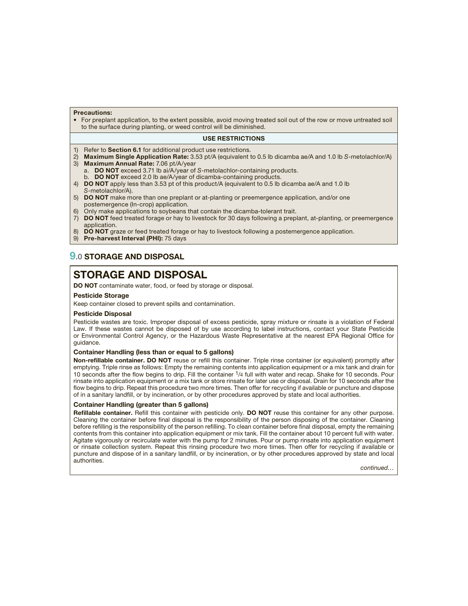### **Precautions:**

• For preplant application, to the extent possible, avoid moving treated soil out of the row or move untreated soil to the surface during planting, or weed control will be diminished.

### **USE RESTRICTIONS**

- 1) Refer to **Section 6.1** for additional product use restrictions.
- 2) **Maximum Single Application Rate:** 3.53 pt/A (equivalent to 0.5 lb dicamba ae/A and 1.0 lb S-metolachlor/A) 3) **Maximum Annual Rate:** 7.06 pt/A/year
- a. **DO NOT** exceed 3.71 lb ai/A/year of S-metolachlor-containing products.
- **DO NOT** exceed 2.0 lb ae/A/year of dicamba-containing products.
- 4) **DO NOT** apply less than 3.53 pt of this product/A (equivalent to 0.5 lb dicamba ae/A and 1.0 lb S-metolachlor/A).
- 5) **DO NOT** make more than one preplant or at-planting or preemergence application, and/or one postemergence (In-crop) application.
- 6) Only make applications to soybeans that contain the dicamba-tolerant trait.
- 7) **DO NOT** feed treated forage or hay to livestock for 30 days following a preplant, at-planting, or preemergence application.
- **DO NOT** graze or feed treated forage or hay to livestock following a postemergence application.
- 9) **Pre-harvest Interval (PHI):** 75 days

## **9.0 STORAGE AND DISPOSAL**

## **STORAGE AND DISPOSAL**

**DO NOT** contaminate water, food, or feed by storage or disposal.

### **Pesticide Storage**

Keep container closed to prevent spills and contamination.

### **Pesticide Disposal**

Pesticide wastes are toxic. Improper disposal of excess pesticide, spray mixture or rinsate is a violation of Federal Law. If these wastes cannot be disposed of by use according to label instructions, contact your State Pesticide or Environmental Control Agency, or the Hazardous Waste Representative at the nearest EPA Regional Office for guidance.

### **Container Handling (less than or equal to 5 gallons)**

Non-refillable container. DO NOT reuse or refill this container. Triple rinse container (or equivalent) promptly after emptying. Triple rinse as follows: Empty the remaining contents into application equipment or a mix tank and drain for 10 seconds after the flow begins to drip. Fill the container 1/4 full with water and recap. Shake for 10 seconds. Pour rinsate into application equipment or a mix tank or store rinsate for later use or disposal. Drain for 10 seconds after the flow begins to drip. Repeat this procedure two more times. Then offer for recycling if available or puncture and dispose of in a sanitary landfill, or by incineration, or by other procedures approved by state and local authorities.

### **Container Handling (greater than 5 gallons)**

**Refillable container.** Refill this container with pesticide only. **DO NOT** reuse this container for any other purpose. Cleaning the container before final disposal is the responsibility of the person disposing of the container. Cleaning before refilling is the responsibility of the person refilling. To clean container before final disposal, empty the remaining contents from this container into application equipment or mix tank. Fill the container about 10 percent full with water. Agitate vigorously or recirculate water with the pump for 2 minutes. Pour or pump rinsate into application equipment or rinsate collection system. Repeat this rinsing procedure two more times. Then offer for recycling if available or puncture and dispose of in a sanitary landfill, or by incineration, or by other procedures approved by state and local authorities.

continued…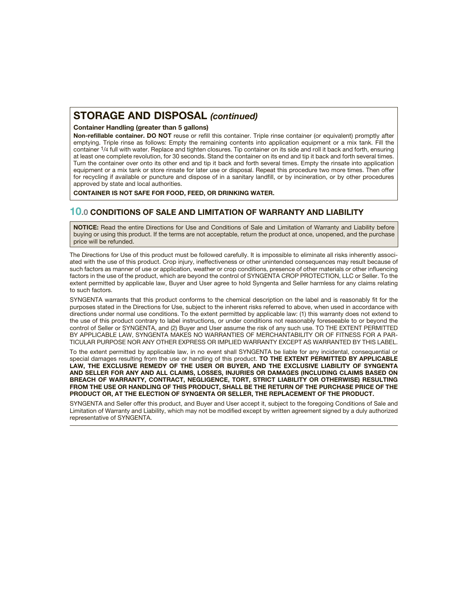## **STORAGE AND DISPOSAL** *(continued)*

### **Container Handling (greater than 5 gallons)**

Non-refillable container. DO NOT reuse or refill this container. Triple rinse container (or equivalent) promptly after emptying. Triple rinse as follows: Empty the remaining contents into application equipment or a mix tank. Fill the container <sup>1</sup>/4 full with water. Replace and tighten closures. Tip container on its side and roll it back and forth, ensuring at least one complete revolution, for 30 seconds. Stand the container on its end and tip it back and forth several times. Turn the container over onto its other end and tip it back and forth several times. Empty the rinsate into application equipment or a mix tank or store rinsate for later use or disposal. Repeat this procedure two more times. Then offer for recycling if available or puncture and dispose of in a sanitary landfill, or by incineration, or by other procedures approved by state and local authorities.

**CONTAINER IS NOT SAFE FOR FOOD, FEED, OR DRINKING WATER.**

## **10.0 CONDITIONS OF SALE AND LIMITATION OF WARRANTY AND LIABILITY**

**NOTICE:** Read the entire Directions for Use and Conditions of Sale and Limitation of Warranty and Liability before buying or using this product. If the terms are not acceptable, return the product at once, unopened, and the purchase price will be refunded.

The Directions for Use of this product must be followed carefully. It is impossible to eliminate all risks inherently associated with the use of this product. Crop injury, ineffectiveness or other unintended consequences may result because of such factors as manner of use or application, weather or crop conditions, presence of other materials or other influencing factors in the use of the product, which are beyond the control of SYNGENTA CROP PROTECTION, LLC or Seller. To the extent permitted by applicable law, Buyer and User agree to hold Syngenta and Seller harmless for any claims relating to such factors.

SYNGENTA warrants that this product conforms to the chemical description on the label and is reasonably fit for the purposes stated in the Directions for Use, subject to the inherent risks referred to above, when used in accordance with directions under normal use conditions. To the extent permitted by applicable law: (1) this warranty does not extend to the use of this product contrary to label instructions, or under conditions not reasonably foreseeable to or beyond the control of Seller or SYNGENTA, and (2) Buyer and User assume the risk of any such use. TO THE EXTENT PERMITTED BY APPLICABLE LAW, SYNGENTA MAKES NO WARRANTIES OF MERCHANTABILITY OR OF FITNESS FOR A PAR-TICULAR PURPOSE NOR ANY OTHER EXPRESS OR IMPLIED WARRANTY EXCEPT AS WARRANTED BY THIS LABEL.

To the extent permitted by applicable law, in no event shall SYNGENTA be liable for any incidental, consequential or special damages resulting from the use or handling of this product. **TO THE EXTENT PERMITTED BY APPLICABLE LAW, THE EXCLUSIVE REMEDY OF THE USER OR BUYER, AND THE EXCLUSIVE LIABILITY OF SYNGENTA AND SELLER FOR ANY AND ALL CLAIMS, LOSSES, INJURIES OR DAMAGES (INCLUDING CLAIMS BASED ON BREACH OF WARRANTY, CONTRACT, NEGLIGENCE, TORT, STRICT LIABILITY OR OTHERWISE) RESULTING FROM THE USE OR HANDLING OF THIS PRODUCT, SHALL BE THE RETURN OF THE PURCHASE PRICE OF THE PRODUCT OR, AT THE ELECTION OF SYNGENTA OR SELLER, THE REPLACEMENT OF THE PRODUCT.**

SYNGENTA and Seller offer this product, and Buyer and User accept it, subject to the foregoing Conditions of Sale and Limitation of Warranty and Liability, which may not be modified except by written agreement signed by a duly authorized representative of SYNGENTA.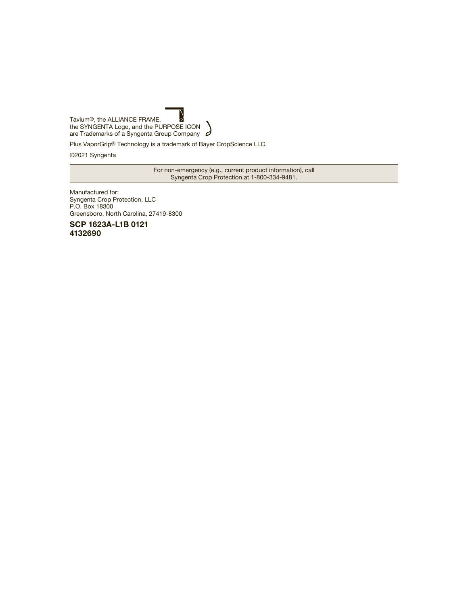

Plus VaporGrip® Technology is a trademark of Bayer CropScience LLC.

©2021 Syngenta

For non-emergency (e.g., current product information), call Syngenta Crop Protection at 1-800-334-9481.

Manufactured for: Syngenta Crop Protection, LLC P.O. Box 18300 Greensboro, North Carolina, 27419-8300

**SCP 1623A-L1B 0121 4132690**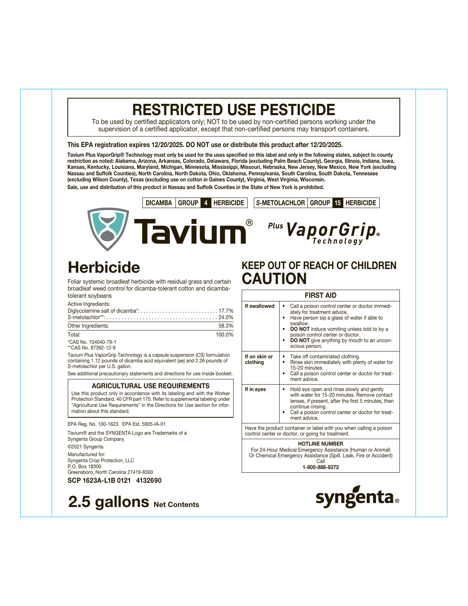# **RESTRICTED USE PESTICIDE**

To be used by certified applicators only; NOT to be used by non-certified persons working under the supervision of a certified applicator, except that non-certified persons may transport containers.

### **This EPA registration expires 12/20/2025. DO NOT use or distribute this product after 12/20/2025.**

**Tavium Plus VaporGrip® Technology must only be used for the uses specified on this label and only in the following states, subject to county restriction as noted: Alabama, Arizona, Arkansas, Colorado, Delaware, Florida (excluding Palm Beach County), Georgia, Illinois, Indiana, Iowa, Kansas, Kentucky, Louisiana, Maryland, Michigan, Minnesota, Mississippi, Missouri, Nebraska, New Jersey, New Mexico, New York (excluding Nassau and Suffolk Counties), North Carolina, North Dakota, Ohio, Oklahoma, Pennsylvania, South Carolina, South Dakota, Tennessee (excluding Wilson County), Texas (excluding use on cotton in Gaines County), Virginia, West Virginia, Wisconsin. Sale, use and distribution of this product in Nassau and Suffolk Counties in the State of New York is prohibited.**



# **Herbicide**

Foliar systemic broadleaf herbicide with residual grass and certain broadleaf weed control for dicamba-tolerant cotton and dicambatolerant soybeans

Active Ingredients:

| rotivo ingrodionto.<br>$S$ -metolachlor**: $\ldots$ $\ldots$ $\ldots$ $\ldots$ $\ldots$ $\ldots$ $\ldots$ $\ldots$ $\ldots$ $\ldots$ $\ldots$ $\ldots$ $\ldots$ $\ldots$ $\ldots$ $\ldots$ $\ldots$ $\ldots$ $\ldots$ $\ldots$ $\ldots$ $\ldots$ $\ldots$ $\ldots$ $\ldots$ $\ldots$ $\ldots$ $\ldots$ $\ldots$ $\ldots$ $\ldots$ $\ldots$ $\ldots$ $\ldots$ |        |
|--------------------------------------------------------------------------------------------------------------------------------------------------------------------------------------------------------------------------------------------------------------------------------------------------------------------------------------------------------------|--------|
| Other Ingredients:                                                                                                                                                                                                                                                                                                                                           | 58.3%  |
| Total:                                                                                                                                                                                                                                                                                                                                                       | 100.0% |

\*CAS No. 104040-79-1 \*\*CAS No. 87392-12-9

Tavium Plus VaporGrip Technology is a capsule suspension (CS) formulation containing 1.12 pounds of dicamba acid equivalent (ae) and 2.26 pounds of S-metolachlor per U.S. gallon.

See additional precautionary statements and directions for use inside booklet.

### **AGRICULTURAL USE REQUIREMENTS**

Use this product only in accordance with its labeling and with the Worker Protection Standard, 40 CFR part 170. Refer to supplemental labeling under "Agricultural Use Requirements" in the Directions for Use section for information about this standard.

EPA Reg. No. 100-1623 EPA Est. 5905-IA-01

Tavium® and the SYNGENTA Logo are Trademarks of a Syngenta Group Company

©2021 Syngenta Manufactured for: Syngenta Crop Protection, LLC P.O. Box 18300 Greensboro, North Carolina 27419-8300

**SCP 1623A-L1B 0121 4132690**



## **KEEP OUT OF REACH OF CHILDREN CAUTION**

|                                                                                                                                                                 | <b>FIRST AID</b>                                                                                                                                                                                                                                                                                         |  |  |  |
|-----------------------------------------------------------------------------------------------------------------------------------------------------------------|----------------------------------------------------------------------------------------------------------------------------------------------------------------------------------------------------------------------------------------------------------------------------------------------------------|--|--|--|
| If swallowed                                                                                                                                                    | Call a poison control center or doctor immedi-<br>ately for treatment advice.<br>Have person sip a glass of water if able to<br>swallow.<br><b>DO NOT</b> induce vomiting unless told to by a<br>poison control center or doctor.<br><b>DO NOT</b> give anything by mouth to an uncon-<br>scious person. |  |  |  |
| If on skin or<br>clothing                                                                                                                                       | Take off contaminated clothing.<br>$\bullet$<br>Rinse skin immediately with plenty of water for<br>$\bullet$<br>15-20 minutes<br>Call a poison control center or doctor for treat-<br>ment advice.                                                                                                       |  |  |  |
| If in eyes                                                                                                                                                      | Hold eye open and rinse slowly and gently<br>with water for 15-20 minutes. Remove contact<br>lenses, if present, after the first 5 minutes, then<br>continue rinsing.<br>Call a poison control center or doctor for treat-<br>ment advice.                                                               |  |  |  |
|                                                                                                                                                                 | Have the product container or label with you when calling a poison<br>control center or doctor, or going for treatment.                                                                                                                                                                                  |  |  |  |
| <b>HOTLINE NUMBER</b><br>For 24-Hour Medical Emergency Assistance (Human or Animal)<br>Or Chemical Emergency Assistance (Spill, Leak, Fire or Accident)<br>Call |                                                                                                                                                                                                                                                                                                          |  |  |  |

**1-800-888-8372**